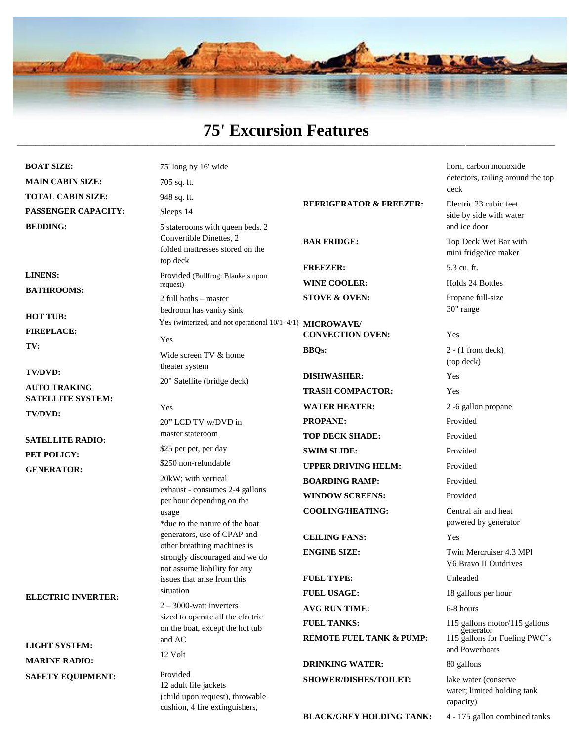

#### **75' Excursion Features** \_\_\_\_\_\_\_\_\_\_\_\_\_\_\_\_\_\_\_\_\_\_\_\_\_\_\_\_\_\_\_\_\_\_\_\_\_\_\_\_\_\_\_\_\_\_\_\_\_\_\_\_\_\_\_\_\_\_\_\_\_\_\_\_\_\_\_\_\_\_\_\_\_\_\_\_\_\_\_\_\_\_\_\_\_\_\_\_\_\_\_\_\_\_\_\_\_\_\_\_\_\_\_\_\_\_\_\_\_\_\_\_\_\_\_

**BOAT SIZE: MAIN CABIN SIZE: TOTAL CABIN SIZE: PASSENGER CAPACITY: BEDDING:**

**LINENS: BATHROOMS:**

**HOT TUB: FIREPLACE: TV:**

**TV/DVD: AUTO TRAKING SATELLITE SYSTEM: TV/DVD:**

**SATELLITE RADIO: PET POLICY: GENERATOR:**

**ELECTRIC INVERTER:**

**LIGHT SYSTEM: MARINE RADIO: SAFETY EQUIPMENT:**

| 75' long by 16' wide<br>705 sq. ft.                                                                                                                                     |                                                           | horn, carbon monoxide<br>detectors, railing around the top<br>deck          |
|-------------------------------------------------------------------------------------------------------------------------------------------------------------------------|-----------------------------------------------------------|-----------------------------------------------------------------------------|
| 948 sq. ft.                                                                                                                                                             |                                                           |                                                                             |
| Sleeps 14                                                                                                                                                               | <b>REFRIGERATOR &amp; FREEZER:</b>                        | Electric 23 cubic feet<br>side by side with water<br>and ice door           |
| 5 staterooms with queen beds. 2<br>Convertible Dinettes, 2<br>folded mattresses stored on the                                                                           | <b>BAR FRIDGE:</b>                                        | Top Deck Wet Bar with<br>mini fridge/ice maker                              |
| top deck                                                                                                                                                                | <b>FREEZER:</b>                                           | 5.3 cu. ft.                                                                 |
| Provided (Bullfrog: Blankets upon<br>request)                                                                                                                           | <b>WINE COOLER:</b>                                       | Holds 24 Bottles                                                            |
| 2 full baths – master<br>bedroom has vanity sink                                                                                                                        | <b>STOVE &amp; OVEN:</b>                                  | Propane full-size<br>30" range                                              |
| Yes (winterized, and not operational 10/1-4/1) MICROWAVE/<br>Yes                                                                                                        | <b>CONVECTION OVEN:</b>                                   | Yes                                                                         |
| Wide screen TV & home<br>theater system                                                                                                                                 | <b>BBOs:</b>                                              | $2 - (1$ front deck)<br>(top deck)                                          |
| 20" Satellite (bridge deck)                                                                                                                                             | <b>DISHWASHER:</b>                                        | Yes                                                                         |
|                                                                                                                                                                         | <b>TRASH COMPACTOR:</b>                                   | Yes                                                                         |
| <b>Yes</b>                                                                                                                                                              | <b>WATER HEATER:</b>                                      | 2 -6 gallon propane                                                         |
| 20" LCD TV w/DVD in                                                                                                                                                     | <b>PROPANE:</b>                                           | Provided                                                                    |
| master stateroom                                                                                                                                                        | <b>TOP DECK SHADE:</b>                                    | Provided                                                                    |
| \$25 per pet, per day                                                                                                                                                   | <b>SWIM SLIDE:</b>                                        | Provided                                                                    |
| \$250 non-refundable                                                                                                                                                    | <b>UPPER DRIVING HELM:</b>                                | Provided                                                                    |
| 20kW; with vertical                                                                                                                                                     | <b>BOARDING RAMP:</b>                                     | Provided                                                                    |
| exhaust - consumes 2-4 gallons<br>per hour depending on the                                                                                                             | <b>WINDOW SCREENS:</b>                                    | Provided                                                                    |
| usage<br>*due to the nature of the boat<br>generators, use of CPAP and<br>other breathing machines is<br>strongly discouraged and we do<br>not assume liability for any | <b>COOLING/HEATING:</b>                                   | Central air and heat<br>powered by generator                                |
|                                                                                                                                                                         | <b>CEILING FANS:</b>                                      | Yes                                                                         |
|                                                                                                                                                                         | <b>ENGINE SIZE:</b>                                       | Twin Mercruiser 4.3 MPI<br>V6 Bravo II Outdrives                            |
| issues that arise from this                                                                                                                                             | <b>FUEL TYPE:</b>                                         | Unleaded                                                                    |
| situation                                                                                                                                                               | <b>FUEL USAGE:</b>                                        | 18 gallons per hour                                                         |
| $2 - 3000$ -watt inverters                                                                                                                                              | <b>AVG RUN TIME:</b>                                      | 6-8 hours                                                                   |
| sized to operate all the electric<br>on the boat, except the hot tub<br>and AC                                                                                          | <b>FUEL TANKS:</b><br><b>REMOTE FUEL TANK &amp; PUMP:</b> | 115 gallons motor/115 gallons<br>generator<br>115 gallons for Fueling PWC's |
| 12 Volt                                                                                                                                                                 |                                                           | and Powerboats                                                              |
|                                                                                                                                                                         | <b>DRINKING WATER:</b>                                    | 80 gallons                                                                  |
| Provided<br>12 adult life jackets<br>(child upon request), throwable                                                                                                    | <b>SHOWER/DISHES/TOILET:</b>                              | lake water (conserve<br>water; limited holding tank                         |

cushion, 4 fire extinguishers,

**BLACK/GREY HOLDING TANK:** 4 - 175 gallon combined tanks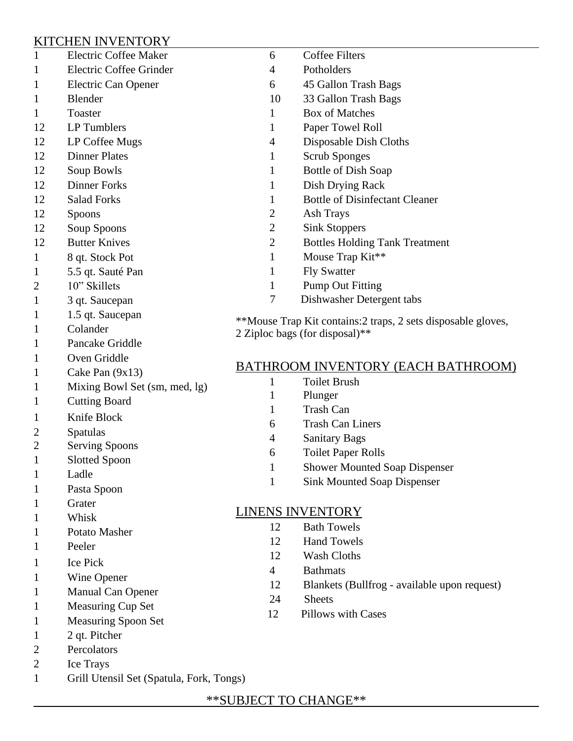### KITCHEN INVENTORY

| $\mathbf{1}$   | <b>Electric Coffee Maker</b>  | 6                                                                                               | <b>Coffee Filters</b>                        |
|----------------|-------------------------------|-------------------------------------------------------------------------------------------------|----------------------------------------------|
|                | Electric Coffee Grinder       | 4                                                                                               | Potholders                                   |
| 1              | Electric Can Opener           | 6                                                                                               | 45 Gallon Trash Bags                         |
| 1              | Blender                       | 10                                                                                              | 33 Gallon Trash Bags                         |
| 1              | Toaster                       | 1                                                                                               | <b>Box of Matches</b>                        |
| 12             | LP Tumblers                   | 1                                                                                               | Paper Towel Roll                             |
| 12             | LP Coffee Mugs                | $\overline{4}$                                                                                  | Disposable Dish Cloths                       |
| 12             | <b>Dinner Plates</b>          | $\mathbf{1}$                                                                                    | <b>Scrub Sponges</b>                         |
| 12             | Soup Bowls                    | $\mathbf{1}$                                                                                    | Bottle of Dish Soap                          |
| 12             | <b>Dinner Forks</b>           | 1                                                                                               | Dish Drying Rack                             |
| 12             | <b>Salad Forks</b>            | 1                                                                                               | <b>Bottle of Disinfectant Cleaner</b>        |
| 12             | Spoons                        | $\overline{2}$                                                                                  | <b>Ash Trays</b>                             |
| 12             | Soup Spoons                   | $\overline{2}$                                                                                  | <b>Sink Stoppers</b>                         |
| 12             | <b>Butter Knives</b>          | $\mathbf{2}$                                                                                    | <b>Bottles Holding Tank Treatment</b>        |
| 1              | 8 qt. Stock Pot               | 1                                                                                               | Mouse Trap Kit**                             |
| 1              | 5.5 qt. Sauté Pan             | 1                                                                                               | <b>Fly Swatter</b>                           |
| 2              | 10" Skillets                  | 1                                                                                               | <b>Pump Out Fitting</b>                      |
| 1              | 3 qt. Saucepan                | 7                                                                                               | Dishwasher Detergent tabs                    |
| 1              | 1.5 qt. Saucepan              | **Mouse Trap Kit contains: 2 traps, 2 sets disposable gloves,<br>2 Ziploc bags (for disposal)** |                                              |
| 1              | Colander                      |                                                                                                 |                                              |
| 1              | Pancake Griddle               |                                                                                                 |                                              |
| 1              | Oven Griddle                  |                                                                                                 |                                              |
| 1              | Cake Pan $(9x13)$             |                                                                                                 | <b>BATHROOM INVENTORY (EACH BATHROOM)</b>    |
| 1              | Mixing Bowl Set (sm, med, lg) | 1                                                                                               | <b>Toilet Brush</b>                          |
| 1              | <b>Cutting Board</b>          | 1                                                                                               | Plunger                                      |
| 1              | Knife Block                   | 1                                                                                               | <b>Trash Can</b>                             |
| 2              | Spatulas                      | 6                                                                                               | <b>Trash Can Liners</b>                      |
| $\overline{2}$ | <b>Serving Spoons</b>         | $\overline{4}$                                                                                  | <b>Sanitary Bags</b>                         |
| 1              | <b>Slotted Spoon</b>          | 6                                                                                               | <b>Toilet Paper Rolls</b>                    |
| 1              | Ladle                         | 1                                                                                               | <b>Shower Mounted Soap Dispenser</b>         |
|                | Pasta Spoon                   | $\mathbf{1}$                                                                                    | <b>Sink Mounted Soap Dispenser</b>           |
|                | Grater                        |                                                                                                 |                                              |
|                | Whisk                         | <b>LINENS INVENTORY</b>                                                                         |                                              |
|                | Potato Masher                 | 12                                                                                              | <b>Bath Towels</b>                           |
|                | Peeler                        | 12                                                                                              | <b>Hand Towels</b>                           |
|                | <b>Ice Pick</b>               | 12                                                                                              | <b>Wash Cloths</b>                           |
|                | Wine Opener                   | $\overline{4}$                                                                                  | <b>Bathmats</b>                              |
|                | Manual Can Opener             | 12                                                                                              | Blankets (Bullfrog - available upon request) |
|                | <b>Measuring Cup Set</b>      | 24                                                                                              | <b>Sheets</b>                                |
| 1              | <b>Measuring Spoon Set</b>    | 12                                                                                              | Pillows with Cases                           |
| 1              | 2 qt. Pitcher                 |                                                                                                 |                                              |
|                |                               |                                                                                                 |                                              |

- 2 Percolators
- 2 Ice Trays
- 1 Grill Utensil Set (Spatula, Fork, Tongs)

#### \*\*SUBJECT TO CHANGE\*\*